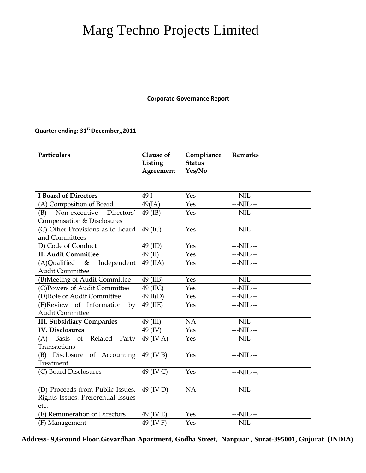## Marg Techno Projects Limited

## **Corporate Governance Report**

## **Quarter ending: 31 st December,,2011**

| Particulars                        | Clause of<br>Listing<br>Agreement | Compliance<br><b>Status</b><br>Yes/No | <b>Remarks</b>   |
|------------------------------------|-----------------------------------|---------------------------------------|------------------|
|                                    |                                   |                                       |                  |
| <b>I Board of Directors</b>        | 49 I                              | Yes                                   | ---NIL---        |
| (A) Composition of Board           | 49(IA)                            | Yes                                   | $--NIL--$        |
| Non-executive<br>Directors'<br>(B) | 49 (IB)                           | Yes                                   | $--NIL--$        |
| Compensation & Disclosures         |                                   |                                       |                  |
| (C) Other Provisions as to Board   | 49 (IC)                           | Yes                                   | $--NIL--$        |
| and Committees                     |                                   |                                       |                  |
| D) Code of Conduct                 | 49 (ID)                           | Yes                                   | ---NIL---        |
| <b>II. Audit Committee</b>         | $49$ (II)                         | Yes                                   | $--NIL--$        |
| $(A)$ Qualified &<br>Independent   | 49 (IIA)                          | Yes                                   | ---NIL---        |
| <b>Audit Committee</b>             |                                   |                                       |                  |
| (B) Meeting of Audit Committee     | 49 (IIB)                          | Yes                                   | $--NIL--$        |
| (C)Powers of Audit Committee       | 49 (IIC)                          | Yes                                   | $--NIL--$        |
| (D)Role of Audit Committee         | $49$ II(D)                        | Yes                                   | $--\text{NIL}--$ |
| (E)Review of Information by        | 49 (IIE)                          | Yes                                   | $--NIL--$        |
| <b>Audit Committee</b>             |                                   |                                       |                  |
| <b>III. Subsidiary Companies</b>   | 49 (III)                          | NA                                    | $--NIL--$        |
| <b>IV. Disclosures</b>             | 49 (IV)                           | Yes                                   | $--\text{NIL}--$ |
| $(A)$ Basis of<br>Related Party    | 49 (IV A)                         | Yes                                   | $--NIL--$        |
| Transactions                       |                                   |                                       |                  |
| (B) Disclosure of Accounting       | 49 (IV B)                         | Yes                                   | ---NIL---        |
| Treatment                          |                                   |                                       |                  |
| (C) Board Disclosures              | 49 (IV C)                         | Yes                                   | ---NIL---.       |
|                                    |                                   |                                       |                  |
| (D) Proceeds from Public Issues,   | 49 (IV D)                         | NA                                    | $--NIL--$        |
| Rights Issues, Preferential Issues |                                   |                                       |                  |
| etc.                               |                                   |                                       |                  |
| (E) Remuneration of Directors      | 49 (IV E)                         | Yes                                   | ---NIL---        |
| (F) Management                     | 49 (IV F)                         | Yes                                   | ---NIL---        |

**Address- 9,Ground Floor,Govardhan Apartment, Godha Street, Nanpuar , Surat-395001, Gujurat (INDIA)**